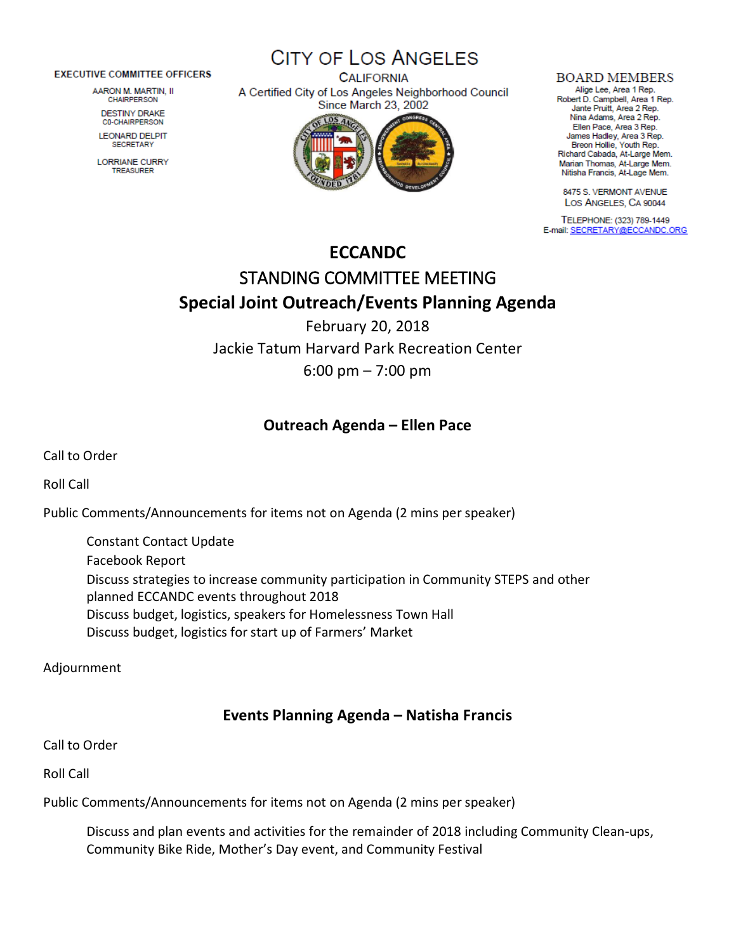#### **EXECUTIVE COMMITTEE OFFICERS**

AARON M. MARTIN, II **CHAIRPERSON** 

**DESTINY DRAKE C0-CHAIRPERSON** 

**LEONARD DELPIT SECRETARY** 

**LORRIANE CURRY TREASURER** 

**CITY OF LOS ANGELES CALIFORNIA** A Certified City of Los Angeles Neighborhood Council **Since March 23, 2002** 



#### **BOARD MEMBERS**

Alige Lee, Area 1 Rep. Robert D. Campbell, Area 1 Rep. Jante Pruitt, Area 2 Rep. Nina Adams, Area 2 Rep. Ellen Pace, Area 3 Rep. James Hadley, Area 3 Rep. Breon Hollie, Youth Rep. Richard Cabada, At-Large Mem. Marian Thomas, At-Large Mem. Nitisha Francis, At-Lage Mem.

8475 S. VERMONT AVENUE LOS ANGELES, CA 90044

TELEPHONE: (323) 789-1449 E-mail: SECRETARY@ECCANDC.ORG

# **ECCANDC** STANDING COMMITTEE MEETING **Special Joint Outreach/Events Planning Agenda**

February 20, 2018 Jackie Tatum Harvard Park Recreation Center 6:00 pm – 7:00 pm

### **Outreach Agenda – Ellen Pace**

Call to Order

Roll Call

Public Comments/Announcements for items not on Agenda (2 mins per speaker)

Constant Contact Update Facebook Report Discuss strategies to increase community participation in Community STEPS and other planned ECCANDC events throughout 2018 Discuss budget, logistics, speakers for Homelessness Town Hall Discuss budget, logistics for start up of Farmers' Market

Adjournment

## **Events Planning Agenda – Natisha Francis**

Call to Order

Roll Call

Public Comments/Announcements for items not on Agenda (2 mins per speaker)

Discuss and plan events and activities for the remainder of 2018 including Community Clean-ups, Community Bike Ride, Mother's Day event, and Community Festival